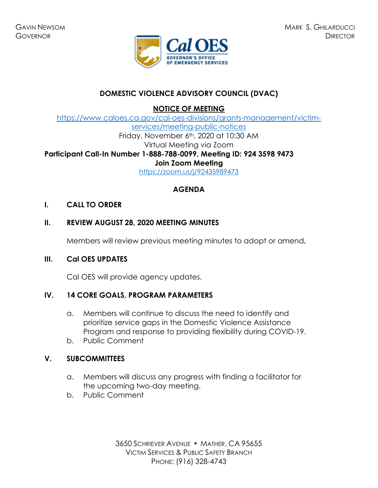

# **DOMESTIC VIOLENCE ADVISORY COUNCIL (DVAC)**

**NOTICE OF MEETING** 

[https://www.caloes.ca.gov/cal-oes-divisions/grants-management/victim](https://www.caloes.ca.gov/cal-oes-divisions/grants-management/victim-services/meeting-public-notices)[services/meeting-public-notices](https://www.caloes.ca.gov/cal-oes-divisions/grants-management/victim-services/meeting-public-notices) Friday, November 6th, 2020 at 10:30 AM Virtual Meeting via Zoom **Participant Call-In Number 1-888-788-0099, Meeting ID: 924 3598 9473 Join Zoom Meeting**  <https://zoom.us/j/92435989473>

# **AGENDA**

### **I. CALL TO ORDER**

# **II. REVIEW AUGUST 28, 2020 MEETING MINUTES**

Members will review previous meeting minutes to adopt or amend**.** 

#### **III. Cal OES UPDATES**

Cal OES will provide agency updates.

## **IV. 14 CORE GOALS, PROGRAM PARAMETERS**

- a. Members will continue to discuss the need to identify and prioritize service gaps in the Domestic Violence Assistance Program and response to providing flexibility during COVID-19.
- b. Public Comment

## **V. SUBCOMMITTEES**

- a. Members will discuss any progress with finding a facilitator for the upcoming two-day meeting.
- b. Public Comment

3650 SCHRIEVER AVENUE MATHER, CA 95655 VICTIM SERVICES & PUBLIC SAFETY BRANCH PHONE: (916) 328-4743